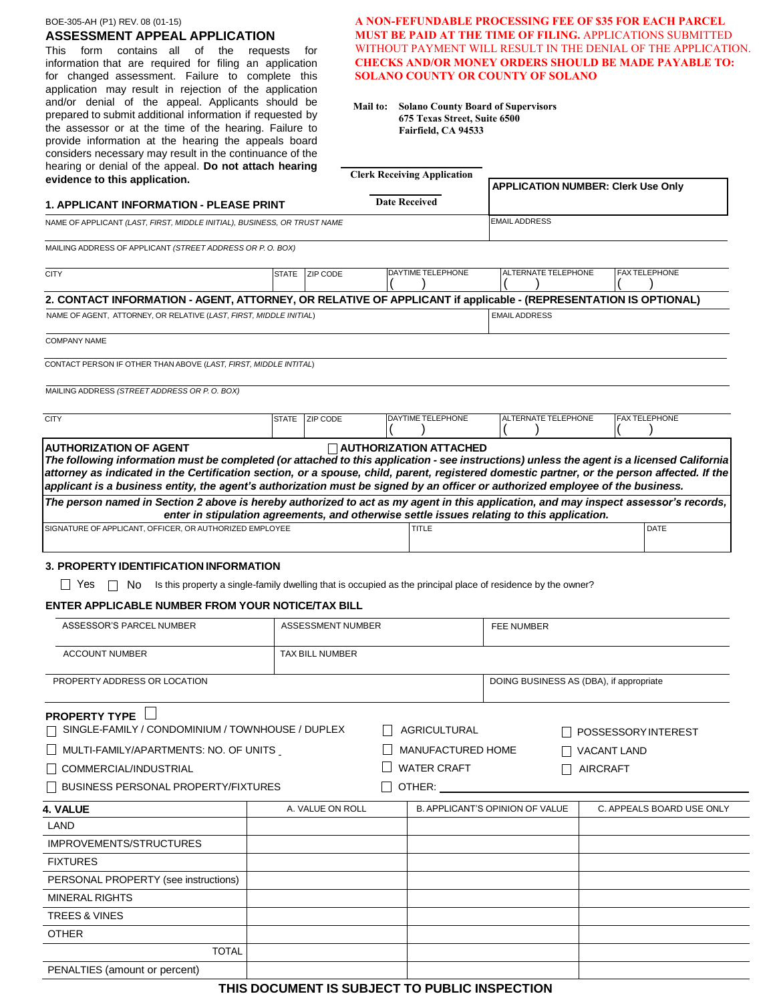#### BOE-305-AH (P1) REV. 08 (01-15)

# **ASSESSMENT APPEAL APPLICATION**

This form contains all of the requests for information that are required for filing an application for changed assessment. Failure to complete this application may result in rejection of the application and/or denial of the appeal. Applicants should be prepared to submit additional information if requested by the assessor or at the time of the hearing. Failure to provide information at the hearing the appeals board considers necessary may result in the continuance of the hearing or denial of the appeal. **Do not attach hearing evidence to this application.**

# **A NON-FEFUNDABLE PROCESSING FEE OF \$35 FOR EACH PARCEL MUST BE PAID AT THE TIME OF FILING.** APPLICATIONS SUBMITTED WITHOUT PAYMENT WILL RESULT IN THE DENIAL OF THE APPLICATION. **CHECKS AND/OR MONEY ORDERS SHOULD BE MADE PAYABLE TO: SOLANO COUNTY OR COUNTY OF SOLANO**

**Mail to: Solano County Board of Supervisors 675 Texas Street, Suite 6500 Fairfield, CA 94533**

| hearing or denial of the appeal. Do not attach hearing<br>evidence to this application.                                                                                                                                                                                                   |       |                        |                      | <b>Clerk Receiving Application</b>     |                                           |                     |                 |                                         |  |
|-------------------------------------------------------------------------------------------------------------------------------------------------------------------------------------------------------------------------------------------------------------------------------------------|-------|------------------------|----------------------|----------------------------------------|-------------------------------------------|---------------------|-----------------|-----------------------------------------|--|
| <b>1. APPLICANT INFORMATION - PLEASE PRINT</b>                                                                                                                                                                                                                                            |       |                        | <b>Date Received</b> |                                        | <b>APPLICATION NUMBER: Clerk Use Only</b> |                     |                 |                                         |  |
| NAME OF APPLICANT (LAST, FIRST, MIDDLE INITIAL), BUSINESS, OR TRUST NAME                                                                                                                                                                                                                  |       |                        |                      |                                        | <b>EMAIL ADDRESS</b>                      |                     |                 |                                         |  |
|                                                                                                                                                                                                                                                                                           |       |                        |                      |                                        |                                           |                     |                 |                                         |  |
| MAILING ADDRESS OF APPLICANT (STREET ADDRESS OR P. O. BOX)                                                                                                                                                                                                                                |       |                        |                      |                                        |                                           |                     |                 |                                         |  |
| <b>CITY</b>                                                                                                                                                                                                                                                                               |       | STATE   ZIP CODE       |                      | DAYTIME TELEPHONE                      |                                           | ALTERNATE TELEPHONE |                 | <b>FAX TELEPHONE</b>                    |  |
| 2. CONTACT INFORMATION - AGENT, ATTORNEY, OR RELATIVE OF APPLICANT if applicable - (REPRESENTATION IS OPTIONAL)                                                                                                                                                                           |       |                        |                      |                                        |                                           |                     |                 |                                         |  |
| NAME OF AGENT, ATTORNEY, OR RELATIVE (LAST, FIRST, MIDDLE INITIAL)                                                                                                                                                                                                                        |       |                        |                      |                                        | <b>EMAIL ADDRESS</b>                      |                     |                 |                                         |  |
| <b>COMPANY NAME</b>                                                                                                                                                                                                                                                                       |       |                        |                      |                                        |                                           |                     |                 |                                         |  |
| CONTACT PERSON IF OTHER THAN ABOVE (LAST, FIRST, MIDDLE INTITAL)                                                                                                                                                                                                                          |       |                        |                      |                                        |                                           |                     |                 |                                         |  |
| MAILING ADDRESS (STREET ADDRESS OR P.O. BOX)                                                                                                                                                                                                                                              |       |                        |                      |                                        |                                           |                     |                 |                                         |  |
| <b>CITY</b>                                                                                                                                                                                                                                                                               | STATE | ZIP CODE               |                      | DAYTIME TELEPHONE                      |                                           | ALTERNATE TELEPHONE |                 | <b>FAX TELEPHONE</b>                    |  |
| The following information must be completed (or attached to this application - see instructions) unless the agent is a licensed California<br>attorney as indicated in the Certification section, or a spouse, child, parent, registered domestic partner, or the person affected. If the |       |                        |                      |                                        |                                           |                     |                 |                                         |  |
| applicant is a business entity, the agent's authorization must be signed by an officer or authorized employee of the business.                                                                                                                                                            |       |                        |                      |                                        |                                           |                     |                 |                                         |  |
| The person named in Section 2 above is hereby authorized to act as my agent in this application, and may inspect assessor's records,<br>enter in stipulation agreements, and otherwise settle issues relating to this application.                                                        |       |                        |                      |                                        |                                           |                     |                 |                                         |  |
| SIGNATURE OF APPLICANT, OFFICER, OR AUTHORIZED EMPLOYEE                                                                                                                                                                                                                                   |       |                        |                      | TITLE                                  |                                           |                     |                 | DATE                                    |  |
|                                                                                                                                                                                                                                                                                           |       |                        |                      |                                        |                                           |                     |                 |                                         |  |
| 3. PROPERTY IDENTIFICATION INFORMATION<br>l I Yes<br>Is this property a single-family dwelling that is occupied as the principal place of residence by the owner?<br>$\mathbf{L}$<br>No.                                                                                                  |       |                        |                      |                                        |                                           |                     |                 |                                         |  |
| <b>ENTER APPLICABLE NUMBER FROM YOUR NOTICE/TAX BILL</b>                                                                                                                                                                                                                                  |       |                        |                      |                                        |                                           |                     |                 |                                         |  |
| ASSESSOR'S PARCEL NUMBER                                                                                                                                                                                                                                                                  |       | ASSESSMENT NUMBER      |                      |                                        |                                           | FEE NUMBER          |                 |                                         |  |
|                                                                                                                                                                                                                                                                                           |       |                        |                      |                                        |                                           |                     |                 |                                         |  |
| <b>ACCOUNT NUMBER</b>                                                                                                                                                                                                                                                                     |       | <b>TAX BILL NUMBER</b> |                      |                                        |                                           |                     |                 |                                         |  |
| PROPERTY ADDRESS OR LOCATION                                                                                                                                                                                                                                                              |       |                        |                      |                                        |                                           |                     |                 | DOING BUSINESS AS (DBA), if appropriate |  |
|                                                                                                                                                                                                                                                                                           |       |                        |                      |                                        |                                           |                     |                 |                                         |  |
| <b>PROPERTY TYPE</b><br>SINGLE-FAMILY / CONDOMINIUM / TOWNHOUSE / DUPLEX                                                                                                                                                                                                                  |       |                        |                      | AGRICULTURAL                           |                                           |                     |                 | POSSESSORY INTEREST                     |  |
| $\hfill\Box$ MULTI-FAMILY/APARTMENTS: NO. OF UNITS                                                                                                                                                                                                                                        |       |                        |                      | MANUFACTURED HOME                      |                                           |                     |                 | VACANT LAND                             |  |
| COMMERCIAL/INDUSTRIAL                                                                                                                                                                                                                                                                     |       |                        |                      | <b>WATER CRAFT</b>                     |                                           |                     | <b>AIRCRAFT</b> |                                         |  |
| BUSINESS PERSONAL PROPERTY/FIXTURES                                                                                                                                                                                                                                                       |       |                        |                      | OTHER:                                 |                                           |                     |                 |                                         |  |
| 4. VALUE                                                                                                                                                                                                                                                                                  |       | A. VALUE ON ROLL       |                      | <b>B. APPLICANT'S OPINION OF VALUE</b> |                                           |                     |                 | C. APPEALS BOARD USE ONLY               |  |
| LAND                                                                                                                                                                                                                                                                                      |       |                        |                      |                                        |                                           |                     |                 |                                         |  |
| IMPROVEMENTS/STRUCTURES                                                                                                                                                                                                                                                                   |       |                        |                      |                                        |                                           |                     |                 |                                         |  |
| <b>FIXTURES</b>                                                                                                                                                                                                                                                                           |       |                        |                      |                                        |                                           |                     |                 |                                         |  |
| PERSONAL PROPERTY (see instructions)                                                                                                                                                                                                                                                      |       |                        |                      |                                        |                                           |                     |                 |                                         |  |
| MINERAL RIGHTS                                                                                                                                                                                                                                                                            |       |                        |                      |                                        |                                           |                     |                 |                                         |  |
| <b>TREES &amp; VINES</b>                                                                                                                                                                                                                                                                  |       |                        |                      |                                        |                                           |                     |                 |                                         |  |
| <b>OTHER</b>                                                                                                                                                                                                                                                                              |       |                        |                      |                                        |                                           |                     |                 |                                         |  |
| <b>TOTAL</b>                                                                                                                                                                                                                                                                              |       |                        |                      |                                        |                                           |                     |                 |                                         |  |
| PENALTIES (amount or percent)                                                                                                                                                                                                                                                             |       |                        |                      |                                        |                                           |                     |                 |                                         |  |

**THIS DOCUMENT IS SUBJECT TO PUBLIC INSPECTION**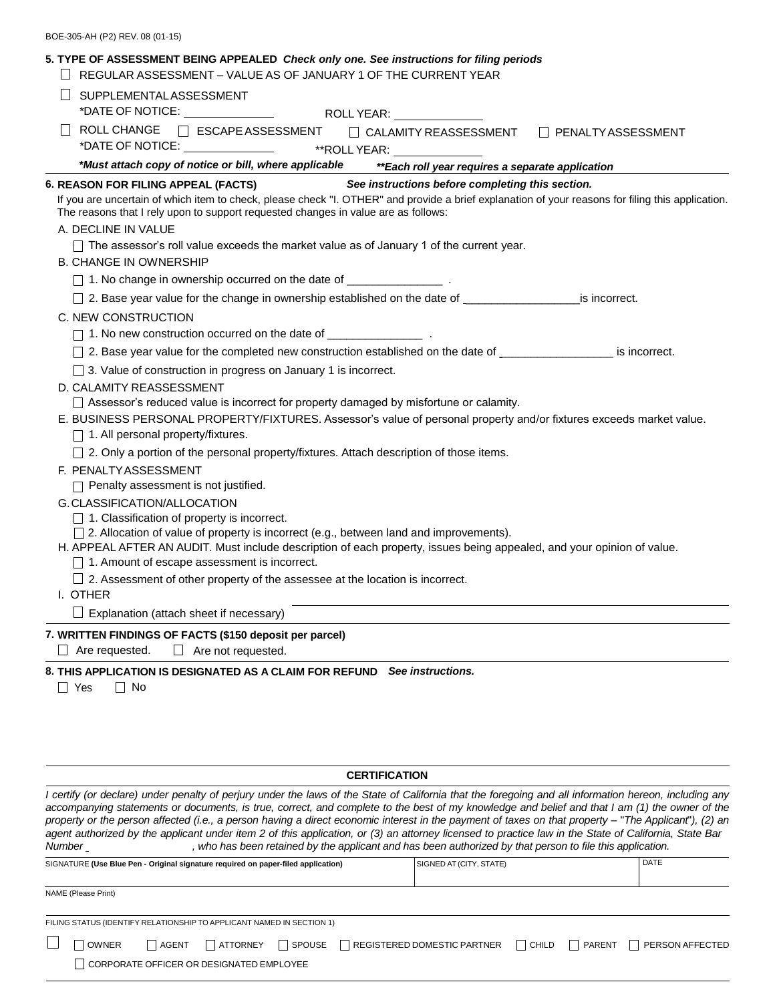| BOE-305-AH (P2) REV. 08 (01-15) |  |  |  |  |  |
|---------------------------------|--|--|--|--|--|
|---------------------------------|--|--|--|--|--|

|         | <b>SUPPLEMENTALASSESSMENT</b>                                                                                                                                                                                                                                  |
|---------|----------------------------------------------------------------------------------------------------------------------------------------------------------------------------------------------------------------------------------------------------------------|
|         | *DATE OF NOTICE: ________________<br>ROLL YEAR: <u>____________________</u>                                                                                                                                                                                    |
| $\perp$ | ROLL CHANGE<br>ESCAPE ASSESSMENT<br><b>CALAMITY REASSESSMENT</b><br>□ PENALTYASSESSMENT<br>*DATE OF NOTICE: ________________<br>$*ROLL YEAR:$                                                                                                                  |
|         | *Must attach copy of notice or bill, where applicable<br>** Each roll year requires a separate application                                                                                                                                                     |
|         | 6. REASON FOR FILING APPEAL (FACTS)<br>See instructions before completing this section.                                                                                                                                                                        |
|         | If you are uncertain of which item to check, please check "I. OTHER" and provide a brief explanation of your reasons for filing this application.<br>The reasons that I rely upon to support requested changes in value are as follows:<br>A. DECLINE IN VALUE |
|         | $\Box$ The assessor's roll value exceeds the market value as of January 1 of the current year.                                                                                                                                                                 |
|         | <b>B. CHANGE IN OWNERSHIP</b>                                                                                                                                                                                                                                  |
|         | 1. No change in ownership occurred on the date of __________________.                                                                                                                                                                                          |
|         | □ 2. Base year value for the change in ownership established on the date of _ state is incorrect.                                                                                                                                                              |
|         | C. NEW CONSTRUCTION                                                                                                                                                                                                                                            |
|         | □ 1. No new construction occurred on the date of _______________________________                                                                                                                                                                               |
|         | □ 2. Base year value for the completed new construction established on the date of _________________ is incorrect.                                                                                                                                             |
|         | □ 3. Value of construction in progress on January 1 is incorrect.                                                                                                                                                                                              |
|         | D. CALAMITY REASSESSMENT                                                                                                                                                                                                                                       |
|         | □ Assessor's reduced value is incorrect for property damaged by misfortune or calamity.                                                                                                                                                                        |
|         | E. BUSINESS PERSONAL PROPERTY/FIXTURES. Assessor's value of personal property and/or fixtures exceeds market value.                                                                                                                                            |
|         | $\Box$ 1. All personal property/fixtures.                                                                                                                                                                                                                      |
|         | □ 2. Only a portion of the personal property/fixtures. Attach description of those items.                                                                                                                                                                      |
|         | F. PENALTYASSESSMENT                                                                                                                                                                                                                                           |
|         | $\Box$ Penalty assessment is not justified.                                                                                                                                                                                                                    |
|         | G.CLASSIFICATION/ALLOCATION                                                                                                                                                                                                                                    |
|         | $\Box$ 1. Classification of property is incorrect.<br>□ 2. Allocation of value of property is incorrect (e.g., between land and improvements).                                                                                                                 |
|         | H. APPEAL AFTER AN AUDIT. Must include description of each property, issues being appealed, and your opinion of value.                                                                                                                                         |
|         | $\Box$ 1. Amount of escape assessment is incorrect.                                                                                                                                                                                                            |
|         | $\Box$ 2. Assessment of other property of the assessee at the location is incorrect.                                                                                                                                                                           |
|         | I. OTHER                                                                                                                                                                                                                                                       |
|         | $\Box$ Explanation (attach sheet if necessary)                                                                                                                                                                                                                 |
|         | 7. WRITTEN FINDINGS OF FACTS (\$150 deposit per parcel)                                                                                                                                                                                                        |
|         | $\Box$ Are requested.<br>$\Box$ Are not requested.                                                                                                                                                                                                             |

# **CERTIFICATION**

I certify (or declare) under penalty of perjury under the laws of the State of California that the foregoing and all information hereon, including any accompanying statements or documents, is true, correct, and complete to the best of my knowledge and belief and that I am (1) the owner of the property or the person affected (i.e., a person having a direct economic interest in the payment of taxes on that property - "The Applicant"), (2) an agent authorized by the applicant under item 2 of this application, or (3) an attorney licensed to practice law in the State of California, State Bar<br>Number \_\_\_\_\_\_\_\_\_\_\_\_\_\_, who has been retained by the applicant and has be , who has been retained by the applicant and has been authorized by that person to file this application.

| SIGNATURE (Use Blue Pen - Original signature required on paper-filed application) |                     |              |                                                                       | SIGNED AT (CITY, STATE) | <b>DATE</b> |                                     |        |                 |  |
|-----------------------------------------------------------------------------------|---------------------|--------------|-----------------------------------------------------------------------|-------------------------|-------------|-------------------------------------|--------|-----------------|--|
|                                                                                   |                     |              |                                                                       |                         |             |                                     |        |                 |  |
|                                                                                   | NAME (Please Print) |              |                                                                       |                         |             |                                     |        |                 |  |
|                                                                                   |                     |              | FILING STATUS (IDENTIFY RELATIONSHIP TO APPLICANT NAMED IN SECTION 1) |                         |             |                                     |        |                 |  |
|                                                                                   | <b>OWNER</b>        | <b>AGENT</b> | ATTORNEY                                                              | SPOUSE                  |             | REGISTERED DOMESTIC PARTNER   CHILD | PARENT | PERSON AFFECTED |  |
|                                                                                   |                     |              | CORPORATE OFFICER OR DESIGNATED EMPLOYEE                              |                         |             |                                     |        |                 |  |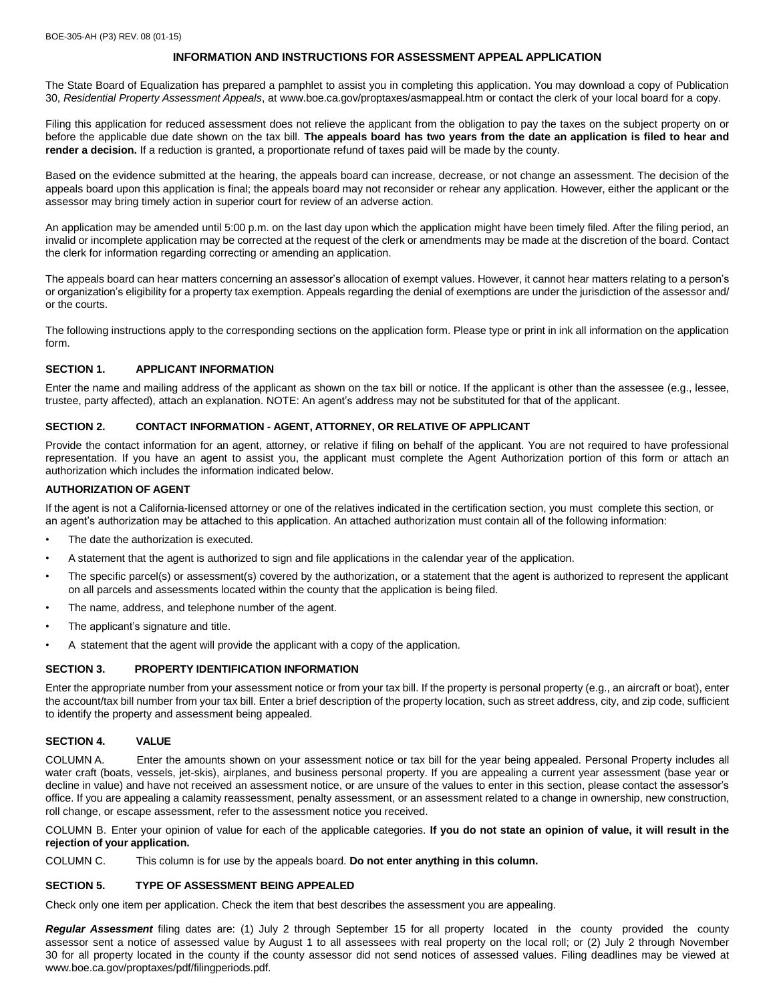# **INFORMATION AND INSTRUCTIONS FOR ASSESSMENT APPEAL APPLICATION**

The State Board of Equalization has prepared a pamphlet to assist you in completing this application. You may download a copy of Publication 30, *Residential Property Assessment Appeals*[, at www.boe.ca.gov/proptaxes/asmappeal.htm](http://www.boe.ca.gov/proptaxes/asmappeal.htm) or contact the clerk of your local board for a copy.

Filing this application for reduced assessment does not relieve the applicant from the obligation to pay the taxes on the subject property on or before the applicable due date shown on the tax bill. The appeals board has two years from the date an application is filed to hear and **render a decision.** If a reduction is granted, a proportionate refund of taxes paid will be made by the county.

Based on the evidence submitted at the hearing, the appeals board can increase, decrease, or not change an assessment. The decision of the appeals board upon this application is final; the appeals board may not reconsider or rehear any application. However, either the applicant or the assessor may bring timely action in superior court for review of an adverse action.

An application may be amended until 5:00 p.m. on the last day upon which the application might have been timely filed. After the filing period, an invalid or incomplete application may be corrected at the request of the clerk or amendments may be made at the discretion of the board. Contact the clerk for information regarding correcting or amending an application.

The appeals board can hear matters concerning an assessor's allocation of exempt values. However, it cannot hear matters relating to a person's or organization's eligibility for a property tax exemption. Appeals regarding the denial of exemptions are under the jurisdiction of the assessor and/ or the courts.

The following instructions apply to the corresponding sections on the application form. Please type or print in ink all information on the application form.

### **SECTION 1. APPLICANT INFORMATION**

Enter the name and mailing address of the applicant as shown on the tax bill or notice. If the applicant is other than the assessee (e.g., lessee, trustee, party affected), attach an explanation. NOTE: An agent's address may not be substituted for that of the applicant.

### **SECTION 2. CONTACT INFORMATION - AGENT, ATTORNEY, OR RELATIVE OF APPLICANT**

Provide the contact information for an agent, attorney, or relative if filing on behalf of the applicant. You are not required to have professional representation. If you have an agent to assist you, the applicant must complete the Agent Authorization portion of this form or attach an authorization which includes the information indicated below.

### **AUTHORIZATION OF AGENT**

If the agent is not a California-licensed attorney or one of the relatives indicated in the certification section, you must complete this section, or an agent's authorization may be attached to this application. An attached authorization must contain all of the following information:

- The date the authorization is executed.
- A statement that the agent is authorized to sign and file applications in the calendar year of the application.
- The specific parcel(s) or assessment(s) covered by the authorization, or a statement that the agent is authorized to represent the applicant on all parcels and assessments located within the county that the application is being filed.
- The name, address, and telephone number of the agent.
- The applicant's signature and title.
- A statement that the agent will provide the applicant with a copy of the application.

### **SECTION 3. PROPERTY IDENTIFICATION INFORMATION**

Enter the appropriate number from your assessment notice or from your tax bill. If the property is personal property (e.g., an aircraft or boat), enter the account/tax bill number from your tax bill. Enter a brief description of the property location, such as street address, city, and zip code, sufficient to identify the property and assessment being appealed.

### **SECTION 4. VALUE**

COLUMN A. Enter the amounts shown on your assessment notice or tax bill for the year being appealed. Personal Property includes all water craft (boats, vessels, jet-skis), airplanes, and business personal property. If you are appealing a current year assessment (base year or decline in value) and have not received an assessment notice, or are unsure of the values to enter in this section, please contact the assessor's office. If you are appealing a calamity reassessment, penalty assessment, or an assessment related to a change in ownership, new construction, roll change, or escape assessment, refer to the assessment notice you received.

COLUMN B. Enter your opinion of value for each of the applicable categories. If you do not state an opinion of value, it will result in the **rejection of your application.**

COLUMN C. This column is for use by the appeals board. **Do not enter anything in this column.**

### **SECTION 5. TYPE OF ASSESSMENT BEING APPEALED**

Check only one item per application. Check the item that best describes the assessment you are appealing.

*Regular Assessment* filing dates are: (1) July 2 through September 15 for all property located in the county provided the county assessor sent a notice of assessed value by August 1 to all assessees with real property on the local roll; or (2) July 2 through November 30 for all property located in the county if the county assessor did not send notices of assessed values. Filing deadlines may be viewed a[t](http://www.boe.ca.gov/proptaxes/pdf/filingperiods.pdf) [www.boe.ca.gov/proptaxes/pdf/filingperiods.pdf.](http://www.boe.ca.gov/proptaxes/pdf/filingperiods.pdf)